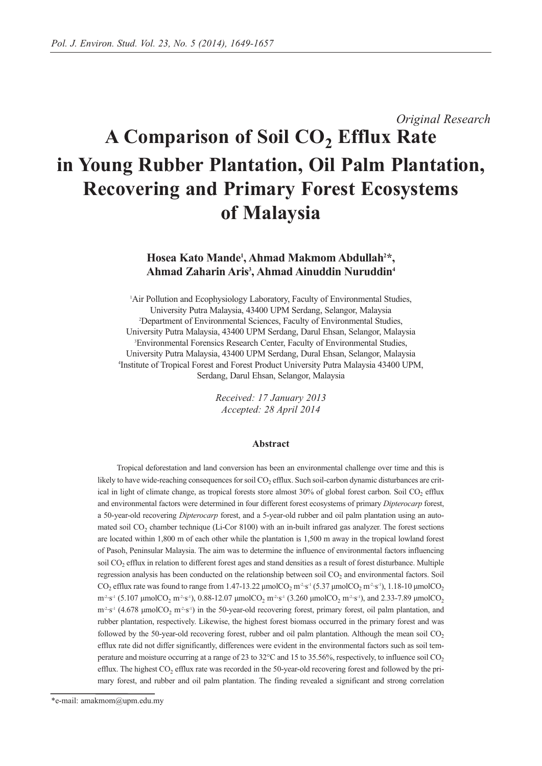# *Original Research* A Comparison of Soil CO<sub>2</sub> Efflux Rate **in Young Rubber Plantation, Oil Palm Plantation, Recovering and Primary Forest Ecosystems of Malaysia**

## Hosea Kato Mande<sup>1</sup>, Ahmad Makmom Abdullah<sup>2\*</sup>, **Ahmad Zaharin Aris3 , Ahmad Ainuddin Nuruddin4**

<sup>1</sup>Air Pollution and Ecophysiology Laboratory, Faculty of Environmental Studies, University Putra Malaysia, 43400 UPM Serdang, Selangor, Malaysia 2 Department of Environmental Sciences, Faculty of Environmental Studies, University Putra Malaysia, 43400 UPM Serdang, Darul Ehsan, Selangor, Malaysia 3 Environmental Forensics Research Center, Faculty of Environmental Studies, University Putra Malaysia, 43400 UPM Serdang, Dural Ehsan, Selangor, Malaysia 4 Institute of Tropical Forest and Forest Product University Putra Malaysia 43400 UPM, Serdang, Darul Ehsan, Selangor, Malaysia

> *Received: 17 January 2013 Accepted: 28 April 2014*

#### **Abstract**

Tropical deforestation and land conversion has been an environmental challenge over time and this is likely to have wide-reaching consequences for soil  $CO<sub>2</sub>$  efflux. Such soil-carbon dynamic disturbances are critical in light of climate change, as tropical forests store almost 30% of global forest carbon. Soil CO<sub>2</sub> efflux and environmental factors were determined in four different forest ecosystems of primary *Dipterocarp* forest, a 50-year-old recovering *Dipterocarp* forest, and a 5-year-old rubber and oil palm plantation using an automated soil CO<sub>2</sub> chamber technique (Li-Cor 8100) with an in-built infrared gas analyzer. The forest sections are located within 1,800 m of each other while the plantation is 1,500 m away in the tropical lowland forest of Pasoh, Peninsular Malaysia. The aim was to determine the influence of environmental factors influencing soil CO<sub>2</sub> efflux in relation to different forest ages and stand densities as a result of forest disturbance. Multiple regression analysis has been conducted on the relationship between soil CO<sub>2</sub> and environmental factors. Soil  $CO_2$  efflux rate was found to range from 1.47-13.22 μmolCO<sub>2</sub> m<sup>2</sup>·s<sup>-1</sup> (5.37 μmolCO<sub>2</sub> m<sup>2</sup>·s<sup>-1</sup>), 1.18-10 μmolCO<sub>2</sub>  $m^2·s^1$  (5.107 μmolCO<sub>2</sub> m<sup>-2</sup>·s<sup>-1</sup>), 0.88-12.07 μmolCO<sub>2</sub> m<sup>-2</sup>·s<sup>-1</sup> (3.260 μmolCO<sub>2</sub> m<sup>-2</sup>·s<sup>-1</sup>), and 2.33-7.89 μmolCO<sub>2</sub>  $m^2s^1$  (4.678 µmolCO<sub>2</sub> m<sup>2</sup>·s<sup>-1</sup>) in the 50-year-old recovering forest, primary forest, oil palm plantation, and rubber plantation, respectively. Likewise, the highest forest biomass occurred in the primary forest and was followed by the 50-year-old recovering forest, rubber and oil palm plantation. Although the mean soil  $CO<sub>2</sub>$ efflux rate did not differ significantly, differences were evident in the environmental factors such as soil temperature and moisture occurring at a range of 23 to 32 $^{\circ}$ C and 15 to 35.56%, respectively, to influence soil CO<sub>2</sub> efflux. The highest  $CO<sub>2</sub>$  efflux rate was recorded in the 50-year-old recovering forest and followed by the primary forest, and rubber and oil palm plantation. The finding revealed a significant and strong correlation

<sup>\*</sup>e-mail: amakmom@upm.edu.my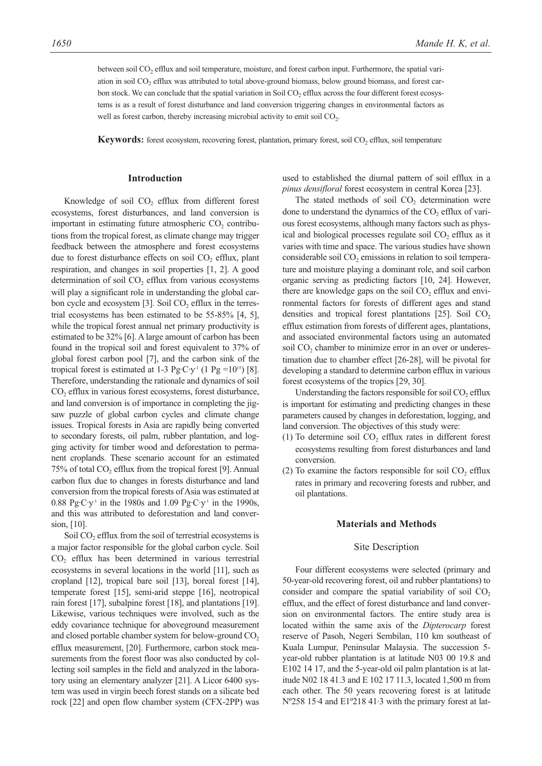between soil CO<sub>2</sub> efflux and soil temperature, moisture, and forest carbon input. Furthermore, the spatial variation in soil  $CO<sub>2</sub>$  efflux was attributed to total above-ground biomass, below ground biomass, and forest carbon stock. We can conclude that the spatial variation in Soil  $CO<sub>2</sub>$  efflux across the four different forest ecosystems is as a result of forest disturbance and land conversion triggering changes in environmental factors as well as forest carbon, thereby increasing microbial activity to emit soil CO<sub>2</sub>.

**Keywords:** forest ecosystem, recovering forest, plantation, primary forest, soil CO<sub>2</sub> efflux, soil temperature

#### **Introduction**

Knowledge of soil  $CO<sub>2</sub>$  efflux from different forest ecosystems, forest disturbances, and land conversion is important in estimating future atmospheric  $CO<sub>2</sub>$  contributions from the tropical forest, as climate change may trigger feedback between the atmosphere and forest ecosystems due to forest disturbance effects on soil  $CO<sub>2</sub>$  efflux, plant respiration, and changes in soil properties [1, 2]. A good determination of soil  $CO<sub>2</sub>$  efflux from various ecosystems will play a significant role in understanding the global carbon cycle and ecosystem  $[3]$ . Soil CO<sub>2</sub> efflux in the terrestrial ecosystems has been estimated to be 55-85% [4, 5], while the tropical forest annual net primary productivity is estimated to be 32% [6]. A large amount of carbon has been found in the tropical soil and forest equivalent to 37% of global forest carbon pool [7], and the carbon sink of the tropical forest is estimated at 1-3 Pg·C·y<sup>-1</sup> (1 Pg =10<sup>15</sup>) [8]. Therefore, understanding the rationale and dynamics of soil  $CO<sub>2</sub>$  efflux in various forest ecosystems, forest disturbance, and land conversion is of importance in completing the jigsaw puzzle of global carbon cycles and climate change issues. Tropical forests in Asia are rapidly being converted to secondary forests, oil palm, rubber plantation, and logging activity for timber wood and deforestation to permanent croplands. These scenario account for an estimated  $75\%$  of total CO<sub>2</sub> efflux from the tropical forest [9]. Annual carbon flux due to changes in forests disturbance and land conversion from the tropical forests of Asia was estimated at 0.88 Pg·C·y<sup>-1</sup> in the 1980s and 1.09 Pg·C·y<sup>-1</sup> in the 1990s, and this was attributed to deforestation and land conversion, [10].

Soil CO<sub>2</sub> efflux from the soil of terrestrial ecosystems is a major factor responsible for the global carbon cycle. Soil  $CO<sub>2</sub>$  efflux has been determined in various terrestrial ecosystems in several locations in the world [11], such as cropland [12], tropical bare soil [13], boreal forest [14], temperate forest [15], semi-arid steppe [16], neotropical rain forest [17], subalpine forest [18], and plantations [19]. Likewise, various techniques were involved, such as the eddy covariance technique for aboveground measurement and closed portable chamber system for below-ground  $CO<sub>2</sub>$ efflux measurement, [20]. Furthermore, carbon stock measurements from the forest floor was also conducted by collecting soil samples in the field and analyzed in the laboratory using an elementary analyzer [21]. A Licor 6400 system was used in virgin beech forest stands on a silicate bed rock [22] and open flow chamber system (CFX-2PP) was used to established the diurnal pattern of soil efflux in a *pinus densifloral* forest ecosystem in central Korea [23].

The stated methods of soil  $CO<sub>2</sub>$  determination were done to understand the dynamics of the  $CO<sub>2</sub>$  efflux of various forest ecosystems, although many factors such as physical and biological processes regulate soil CO<sub>2</sub> efflux as it varies with time and space. The various studies have shown considerable soil  $CO<sub>2</sub>$  emissions in relation to soil temperature and moisture playing a dominant role, and soil carbon organic serving as predicting factors [10, 24]. However, there are knowledge gaps on the soil  $CO<sub>2</sub>$  efflux and environmental factors for forests of different ages and stand densities and tropical forest plantations  $[25]$ . Soil CO<sub>2</sub> efflux estimation from forests of different ages, plantations, and associated environmental factors using an automated soil  $CO<sub>2</sub>$  chamber to minimize error in an over or underestimation due to chamber effect [26-28], will be pivotal for developing a standard to determine carbon efflux in various forest ecosystems of the tropics [29, 30].

Understanding the factors responsible for soil  $CO<sub>2</sub>$  efflux is important for estimating and predicting changes in these parameters caused by changes in deforestation, logging, and land conversion. The objectives of this study were:

- (1) To determine soil  $CO<sub>2</sub>$  efflux rates in different forest ecosystems resulting from forest disturbances and land conversion.
- (2) To examine the factors responsible for soil  $CO<sub>2</sub>$  efflux rates in primary and recovering forests and rubber, and oil plantations.

#### **Materials and Methods**

#### Site Description

Four different ecosystems were selected (primary and 50-year-old recovering forest, oil and rubber plantations) to consider and compare the spatial variability of soil  $CO<sub>2</sub>$ efflux, and the effect of forest disturbance and land conversion on environmental factors. The entire study area is located within the same axis of the *Dipterocarp* forest reserve of Pasoh, Negeri Sembilan, 110 km southeast of Kuala Lumpur, Peninsular Malaysia. The succession 5 year-old rubber plantation is at latitude N03 00 19.8 and E102 14 17, and the 5-year-old oil palm plantation is at latitude N02 18 41.3 and E 102 17 11.3, located 1,500 m from each other. The 50 years recovering forest is at latitude Nº258 15·4 and E1º218 41·3 with the primary forest at lat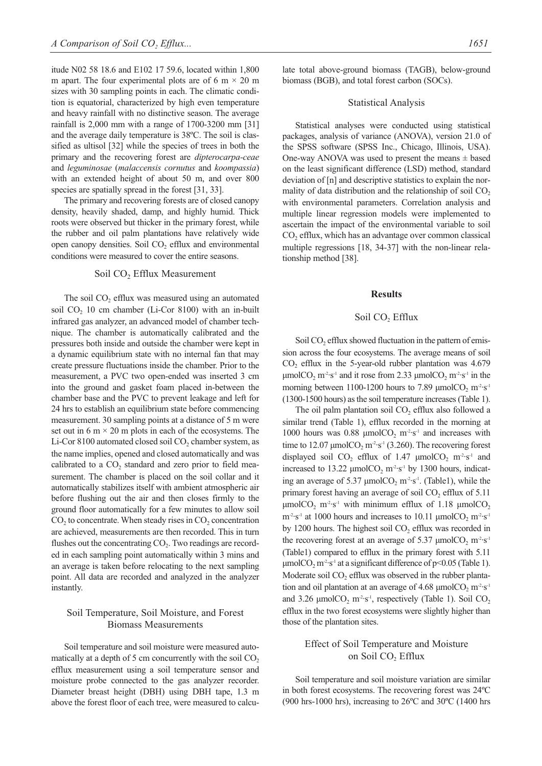itude N02 58 18.6 and E102 17 59.6, located within 1,800 m apart. The four experimental plots are of 6 m  $\times$  20 m sizes with 30 sampling points in each. The climatic condition is equatorial, characterized by high even temperature and heavy rainfall with no distinctive season. The average rainfall is 2,000 mm with a range of 1700-3200 mm [31] and the average daily temperature is 38ºC. The soil is classified as ultisol [32] while the species of trees in both the primary and the recovering forest are *dipterocarpa-ceae* and *leguminosae* (*malaccensis cornutus* and *koompassia*) with an extended height of about 50 m, and over 800 species are spatially spread in the forest [31, 33].

The primary and recovering forests are of closed canopy density, heavily shaded, damp, and highly humid. Thick roots were observed but thicker in the primary forest, while the rubber and oil palm plantations have relatively wide open canopy densities. Soil  $CO<sub>2</sub>$  efflux and environmental conditions were measured to cover the entire seasons.

## Soil CO<sub>2</sub> Efflux Measurement

The soil  $CO<sub>2</sub>$  efflux was measured using an automated soil  $CO<sub>2</sub>$  10 cm chamber (Li-Cor 8100) with an in-built infrared gas analyzer, an advanced model of chamber technique. The chamber is automatically calibrated and the pressures both inside and outside the chamber were kept in a dynamic equilibrium state with no internal fan that may create pressure fluctuations inside the chamber. Prior to the measurement, a PVC two open-ended was inserted 3 cm into the ground and gasket foam placed in-between the chamber base and the PVC to prevent leakage and left for 24 hrs to establish an equilibrium state before commencing measurement. 30 sampling points at a distance of 5 m were set out in 6 m  $\times$  20 m plots in each of the ecosystems. The Li-Cor 8100 automated closed soil CO<sub>2</sub> chamber system, as the name implies, opened and closed automatically and was calibrated to a  $CO<sub>2</sub>$  standard and zero prior to field measurement. The chamber is placed on the soil collar and it automatically stabilizes itself with ambient atmospheric air before flushing out the air and then closes firmly to the ground floor automatically for a few minutes to allow soil  $CO<sub>2</sub>$  to concentrate. When steady rises in  $CO<sub>2</sub>$  concentration are achieved, measurements are then recorded. This in turn flushes out the concentrating  $CO<sub>2</sub>$ . Two readings are recorded in each sampling point automatically within 3 mins and an average is taken before relocating to the next sampling point. All data are recorded and analyzed in the analyzer instantly.

## Soil Temperature, Soil Moisture, and Forest Biomass Measurements

Soil temperature and soil moisture were measured automatically at a depth of 5 cm concurrently with the soil  $CO<sub>2</sub>$ efflux measurement using a soil temperature sensor and moisture probe connected to the gas analyzer recorder. Diameter breast height (DBH) using DBH tape, 1.3 m above the forest floor of each tree, were measured to calculate total above-ground biomass (TAGB), below-ground biomass (BGB), and total forest carbon (SOCs).

#### Statistical Analysis

Statistical analyses were conducted using statistical packages, analysis of variance (ANOVA), version 21.0 of the SPSS software (SPSS Inc., Chicago, Illinois, USA). One-way ANOVA was used to present the means  $\pm$  based on the least significant difference (LSD) method, standard deviation of [n] and descriptive statistics to explain the normality of data distribution and the relationship of soil  $CO<sub>2</sub>$ with environmental parameters. Correlation analysis and multiple linear regression models were implemented to ascertain the impact of the environmental variable to soil  $CO<sub>2</sub>$  efflux, which has an advantage over common classical multiple regressions [18, 34-37] with the non-linear relationship method [38].

#### **Results**

#### Soil CO<sub>2</sub> Efflux

Soil CO<sub>2</sub> efflux showed fluctuation in the pattern of emission across the four ecosystems. The average means of soil CO<sub>2</sub> efflux in the 5-year-old rubber plantation was 4.679 μmolCO<sub>2</sub> m<sup>-2</sup>·s<sup>-1</sup> and it rose from 2.33 μmolCO<sub>2</sub> m<sup>-2</sup>·s<sup>-1</sup> in the morning between 1100-1200 hours to 7.89  $\mu$ molCO<sub>2</sub> m<sup>-2</sup>·s<sup>-1</sup> (1300-1500 hours) as the soil temperature increases (Table 1).

The oil palm plantation soil  $CO<sub>2</sub>$  efflux also followed a similar trend (Table 1), efflux recorded in the morning at 1000 hours was 0.88  $\mu$ molCO<sub>2</sub> m<sup>-2</sup>·s<sup>-1</sup> and increases with time to 12.07  $\mu$ molCO<sub>2</sub> m<sup>-2</sup>·s<sup>-1</sup> (3.260). The recovering forest displayed soil  $CO_2$  efflux of 1.47  $\mu$ mol $CO_2$  m<sup>-2</sup>·s<sup>-1</sup> and increased to 13.22  $\mu$ molCO<sub>2</sub> m<sup>-2</sup>·s<sup>-1</sup> by 1300 hours, indicating an average of 5.37  $\mu$ molCO<sub>2</sub> m<sup>-2</sup>·s<sup>-1</sup>. (Table1), while the primary forest having an average of soil  $CO<sub>2</sub>$  efflux of 5.11 μmolCO<sub>2</sub> m<sup>-2</sup>·s<sup>-1</sup> with minimum efflux of 1.18 μmolCO<sub>2</sub>  $m^{-2}$ ·s<sup>-1</sup> at 1000 hours and increases to 10.11  $\mu$ molCO<sub>2</sub> m<sup>-2</sup>·s<sup>-1</sup> by 1200 hours. The highest soil  $CO<sub>2</sub>$  efflux was recorded in the recovering forest at an average of 5.37  $\mu$ molCO<sub>2</sub> m<sup>-2</sup>·s<sup>-1</sup> (Table1) compared to efflux in the primary forest with 5.11 μmolCO<sub>2</sub> m<sup>-2</sup>·s<sup>-1</sup> at a significant difference of p<0.05 (Table 1). Moderate soil  $CO<sub>2</sub>$  efflux was observed in the rubber plantation and oil plantation at an average of 4.68  $\mu$ molCO<sub>2</sub> m<sup>-2</sup>·s<sup>-1</sup> and 3.26  $\mu$ molCO<sub>2</sub> m<sup>2</sup>·s<sup>-1</sup>, respectively (Table 1). Soil CO<sub>2</sub> efflux in the two forest ecosystems were slightly higher than those of the plantation sites.

## Effect of Soil Temperature and Moisture on Soil CO<sub>2</sub> Efflux

Soil temperature and soil moisture variation are similar in both forest ecosystems. The recovering forest was 24ºC (900 hrs-1000 hrs), increasing to 26ºC and 30ºC (1400 hrs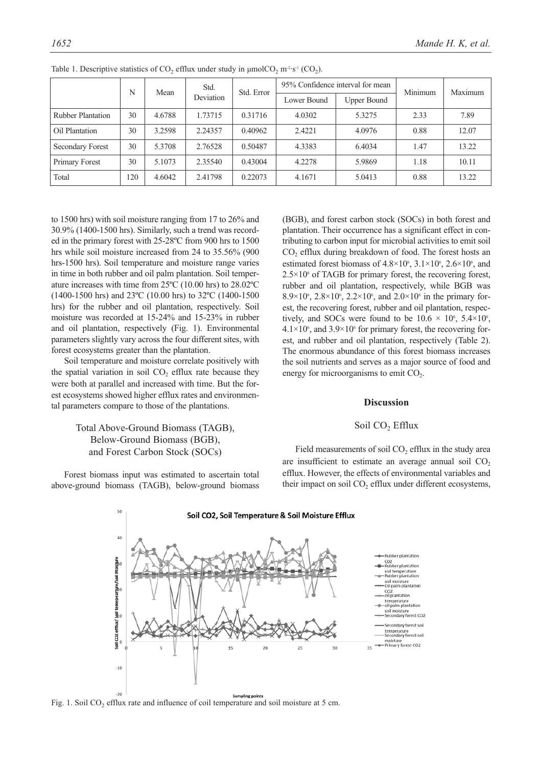|                          | N   | Mean   | Std.      | Std. Error |             | 95% Confidence interval for mean | Minimum | Maximum |  |
|--------------------------|-----|--------|-----------|------------|-------------|----------------------------------|---------|---------|--|
|                          |     |        | Deviation |            | Lower Bound | <b>Upper Bound</b>               |         |         |  |
| <b>Rubber Plantation</b> | 30  | 4.6788 | 1.73715   | 0.31716    | 4.0302      | 5.3275                           | 2.33    | 7.89    |  |
| Oil Plantation           | 30  | 3.2598 | 2.24357   | 0.40962    | 2.4221      | 4.0976                           | 0.88    | 12.07   |  |
| Secondary Forest         | 30  | 5.3708 | 2.76528   | 0.50487    | 4.3383      | 6.4034                           | 1.47    | 13.22   |  |
| Primary Forest           | 30  | 5.1073 | 2.35540   | 0.43004    | 4.2278      | 5.9869                           | 1.18    | 10.11   |  |
| Total                    | 120 | 4.6042 | 2.41798   | 0.22073    | 4.1671      | 5.0413                           | 0.88    | 13.22   |  |

Table 1. Descriptive statistics of  $CO_2$  efflux under study in  $\mu$ mol $CO_2$  m<sup>-2</sup>·s<sup>-1</sup> (CO<sub>2</sub>).

to 1500 hrs) with soil moisture ranging from 17 to 26% and 30.9% (1400-1500 hrs). Similarly, such a trend was recorded in the primary forest with 25-28ºC from 900 hrs to 1500 hrs while soil moisture increased from 24 to 35.56% (900 hrs-1500 hrs). Soil temperature and moisture range varies in time in both rubber and oil palm plantation. Soil temperature increases with time from 25ºC (10.00 hrs) to 28.02ºC (1400-1500 hrs) and 23ºC (10.00 hrs) to 32ºC (1400-1500 hrs) for the rubber and oil plantation, respectively. Soil moisture was recorded at 15-24% and 15-23% in rubber and oil plantation, respectively (Fig. 1). Environmental parameters slightly vary across the four different sites, with forest ecosystems greater than the plantation.

Soil temperature and moisture correlate positively with the spatial variation in soil  $CO<sub>2</sub>$  efflux rate because they were both at parallel and increased with time. But the forest ecosystems showed higher efflux rates and environmental parameters compare to those of the plantations.

## Total Above-Ground Biomass (TAGB), Below-Ground Biomass (BGB), and Forest Carbon Stock (SOCs)

Forest biomass input was estimated to ascertain total above-ground biomass (TAGB), below-ground biomass (BGB), and forest carbon stock (SOCs) in both forest and plantation. Their occurrence has a significant effect in contributing to carbon input for microbial activities to emit soil CO<sub>2</sub> efflux during breakdown of food. The forest hosts an estimated forest biomass of  $4.8 \times 10^6$ ,  $3.1 \times 10^6$ ,  $2.6 \times 10^6$ , and  $2.5 \times 10^6$  of TAGB for primary forest, the recovering forest, rubber and oil plantation, respectively, while BGB was 8.9×10<sup>6</sup>, 2.8×10<sup>6</sup>, 2.2×10<sup>6</sup>, and 2.0×10<sup>6</sup> in the primary forest, the recovering forest, rubber and oil plantation, respectively, and SOCs were found to be  $10.6 \times 10^6$ ,  $5.4 \times 10^6$ ,  $4.1 \times 10^6$ , and  $3.9 \times 10^6$  for primary forest, the recovering forest, and rubber and oil plantation, respectively (Table 2). The enormous abundance of this forest biomass increases the soil nutrients and serves as a major source of food and energy for microorganisms to emit  $CO<sub>2</sub>$ .

### **Discussion**

#### Soil CO<sub>2</sub> Efflux

Field measurements of soil  $CO<sub>2</sub>$  efflux in the study area are insufficient to estimate an average annual soil  $CO<sub>2</sub>$ efflux. However, the effects of environmental variables and their impact on soil CO<sub>2</sub> efflux under different ecosystems,



Fig. 1. Soil CO<sub>2</sub> efflux rate and influence of coil temperature and soil moisture at 5 cm.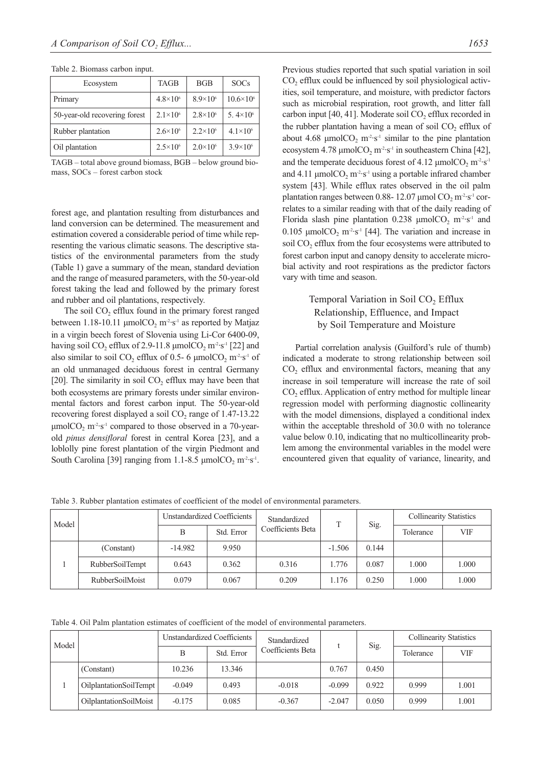| Ecosystem                     | <b>TAGB</b>         | BGB                 | <b>SOCs</b>          |
|-------------------------------|---------------------|---------------------|----------------------|
| Primary                       | $4.8 \times 10^{6}$ | $8.9\times10^{6}$   | $10.6 \times 10^{6}$ |
| 50-year-old recovering forest | $2.1 \times 10^{6}$ | $2.8 \times 10^{6}$ | 5.4 $\times$ 10 $^6$ |
| Rubber plantation             | $2.6 \times 10^{6}$ | $2.2 \times 10^{6}$ | $4.1 \times 10^{6}$  |
| Oil plantation                | $2.5 \times 10^{6}$ | $2.0 \times 10^{6}$ | $3.9 \times 10^{6}$  |

TAGB – total above ground biomass, BGB – below ground biomass, SOCs – forest carbon stock

forest age, and plantation resulting from disturbances and land conversion can be determined. The measurement and estimation covered a considerable period of time while representing the various climatic seasons. The descriptive statistics of the environmental parameters from the study (Table 1) gave a summary of the mean, standard deviation and the range of measured parameters, with the 50-year-old forest taking the lead and followed by the primary forest and rubber and oil plantations, respectively.

The soil  $CO<sub>2</sub>$  efflux found in the primary forest ranged between 1.18-10.11 μmolCO<sub>2</sub> m<sup>-2</sup>·s<sup>-1</sup> as reported by Matjaz in a virgin beech forest of Slovenia using Li-Cor 6400-09, having soil CO<sub>2</sub> efflux of 2.9-11.8  $\mu$ molCO<sub>2</sub> m<sup>-2</sup>·s<sup>-1</sup> [22] and also similar to soil  $CO_2$  efflux of 0.5- 6 μmol $CO_2$  m<sup>-2</sup>·s<sup>-1</sup> of an old unmanaged deciduous forest in central Germany [20]. The similarity in soil  $CO<sub>2</sub>$  efflux may have been that both ecosystems are primary forests under similar environmental factors and forest carbon input. The 50-year-old recovering forest displayed a soil  $CO<sub>2</sub>$  range of 1.47-13.22  $\mu$ molCO<sub>2</sub> m<sup>-2</sup>·s<sup>-1</sup> compared to those observed in a 70-yearold *pinus densifloral* forest in central Korea [23], and a loblolly pine forest plantation of the virgin Piedmont and South Carolina [39] ranging from 1.1-8.5  $\mu$ molCO<sub>2</sub> m<sup>2</sup>·s<sup>-1</sup>. Previous studies reported that such spatial variation in soil  $CO<sub>2</sub>$  efflux could be influenced by soil physiological activities, soil temperature, and moisture, with predictor factors such as microbial respiration, root growth, and litter fall carbon input [40, 41]. Moderate soil  $CO<sub>2</sub>$  efflux recorded in the rubber plantation having a mean of soil  $CO<sub>2</sub>$  efflux of about 4.68 μmolCO<sub>2</sub> m<sup>-2</sup>·s<sup>-1</sup> similar to the pine plantation ecosystem 4.78  $\mu$ molCO<sub>2</sub> m<sup>-2</sup>·s<sup>-1</sup> in southeastern China [42], and the temperate deciduous forest of 4.12  $\mu$ molCO<sub>2</sub> m<sup>-2</sup>·s<sup>-1</sup> and 4.11  $\mu$ molCO<sub>2</sub> m<sup>-2</sup>·s<sup>-1</sup> using a portable infrared chamber system [43]. While efflux rates observed in the oil palm plantation ranges between 0.88- 12.07 μmol CO<sub>2</sub> m<sup>-2</sup>·s<sup>-1</sup> correlates to a similar reading with that of the daily reading of Florida slash pine plantation 0.238  $\mu$ molCO<sub>2</sub> m<sup>-2</sup>·s<sup>-1</sup> and 0.105 μmolCO<sub>2</sub> m<sup>-2</sup>·s<sup>-1</sup> [44]. The variation and increase in soil CO<sub>2</sub> efflux from the four ecosystems were attributed to forest carbon input and canopy density to accelerate microbial activity and root respirations as the predictor factors vary with time and season.

## Temporal Variation in Soil  $CO<sub>2</sub>$  Efflux Relationship, Effluence, and Impact by Soil Temperature and Moisture

Partial correlation analysis (Guilford's rule of thumb) indicated a moderate to strong relationship between soil CO<sub>2</sub> efflux and environmental factors, meaning that any increase in soil temperature will increase the rate of soil  $CO<sub>2</sub>$  efflux. Application of entry method for multiple linear regression model with performing diagnostic collinearity with the model dimensions, displayed a conditional index within the acceptable threshold of 30.0 with no tolerance value below 0.10, indicating that no multicollinearity problem among the environmental variables in the model were encountered given that equality of variance, linearity, and

Table 3. Rubber plantation estimates of coefficient of the model of environmental parameters.

| Model |                        |           | Unstandardized Coefficients | Standardized      | T        | Sig.  | <b>Collinearity Statistics</b> |       |
|-------|------------------------|-----------|-----------------------------|-------------------|----------|-------|--------------------------------|-------|
|       |                        | В         | Std. Error                  | Coefficients Beta |          |       | Tolerance                      | VIF   |
|       | (Constant)             | $-14.982$ | 9.950                       |                   | $-1.506$ | 0.144 |                                |       |
|       | <b>RubberSoilTempt</b> | 0.643     | 0.362                       | 0.316             | 1.776    | 0.087 | 1.000                          | 1.000 |
|       | <b>RubberSoilMoist</b> | 0.079     | 0.067                       | 0.209             | 1.176    | 0.250 | 1.000                          | 1.000 |

Table 4. Oil Palm plantation estimates of coefficient of the model of environmental parameters.

| Model |                        |          | Unstandardized Coefficients | Standardized      |                        |           | <b>Collinearity Statistics</b> |       |
|-------|------------------------|----------|-----------------------------|-------------------|------------------------|-----------|--------------------------------|-------|
|       |                        | Β        | Std. Error                  | Coefficients Beta | Sig.<br>0.767<br>0.450 | Tolerance | VIF                            |       |
|       | (Constant)             | 10.236   | 13.346                      |                   |                        |           |                                |       |
|       | OilplantationSoilTempt | $-0.049$ | 0.493                       | $-0.018$          | $-0.099$               | 0.922     | 0.999                          | 1.001 |
|       | OilplantationSoilMoist | $-0.175$ | 0.085                       | $-0.367$          | $-2.047$               | 0.050     | 0.999                          | 1.001 |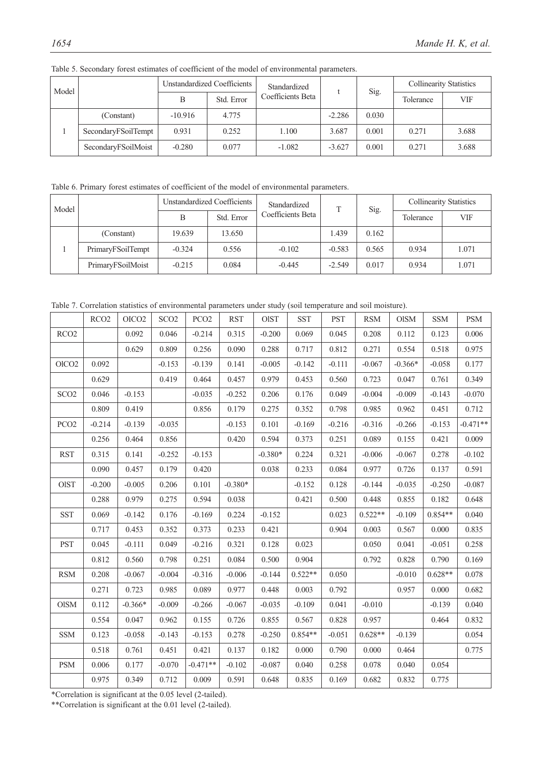| Model |                     |           | Unstandardized Coefficients | Standardized      |          | Sig.  | <b>Collinearity Statistics</b> |       |
|-------|---------------------|-----------|-----------------------------|-------------------|----------|-------|--------------------------------|-------|
|       |                     | Β         | Std. Error                  | Coefficients Beta |          |       | Tolerance                      | VIF   |
|       | (Constant)          | $-10.916$ | 4.775                       |                   | $-2.286$ | 0.030 |                                |       |
|       | SecondaryFSoilTempt | 0.931     | 0.252                       | 1.100             | 3.687    | 0.001 | 0.271                          | 3.688 |
|       | SecondaryFSoilMoist | $-0.280$  | 0.077                       | $-1.082$          | $-3.627$ | 0.001 | 0.271                          | 3.688 |

Table 5. Secondary forest estimates of coefficient of the model of environmental parameters.

Table 6. Primary forest estimates of coefficient of the model of environmental parameters.

| Model |                   |          | Unstandardized Coefficients | Standardized      |          | Sig.  | <b>Collinearity Statistics</b> |       |
|-------|-------------------|----------|-----------------------------|-------------------|----------|-------|--------------------------------|-------|
|       |                   | В        | Std. Error                  | Coefficients Beta |          |       | Tolerance                      | VIF   |
|       | (Constant)        | 19.639   | 13.650                      |                   | 1.439    | 0.162 |                                |       |
|       | PrimaryFSoilTempt | $-0.324$ | 0.556                       | $-0.102$          | $-0.583$ | 0.565 | 0.934                          | 1.071 |
|       | PrimaryFSoilMoist | $-0.215$ | 0.084                       | $-0.445$          | $-2.549$ | 0.017 | 0.934                          | 1.071 |

Table 7. Correlation statistics of environmental parameters under study (soil temperature and soil moisture).

|                   | RCO <sub>2</sub> | OICO <sub>2</sub> | SCO <sub>2</sub> | PCO <sub>2</sub> | <b>RST</b> | <b>OIST</b> | <b>SST</b> | <b>PST</b> | <b>RSM</b> | <b>OISM</b> | <b>SSM</b> | <b>PSM</b> |
|-------------------|------------------|-------------------|------------------|------------------|------------|-------------|------------|------------|------------|-------------|------------|------------|
| RCO <sub>2</sub>  |                  | 0.092             | 0.046            | $-0.214$         | 0.315      | $-0.200$    | 0.069      | 0.045      | 0.208      | 0.112       | 0.123      | 0.006      |
|                   |                  | 0.629             | 0.809            | 0.256            | 0.090      | 0.288       | 0.717      | 0.812      | 0.271      | 0.554       | 0.518      | 0.975      |
| OlCO <sub>2</sub> | 0.092            |                   | $-0.153$         | $-0.139$         | 0.141      | $-0.005$    | $-0.142$   | $-0.111$   | $-0.067$   | $-0.366*$   | $-0.058$   | 0.177      |
|                   | 0.629            |                   | 0.419            | 0.464            | 0.457      | 0.979       | 0.453      | 0.560      | 0.723      | 0.047       | 0.761      | 0.349      |
| SCO <sub>2</sub>  | 0.046            | $-0.153$          |                  | $-0.035$         | $-0.252$   | 0.206       | 0.176      | 0.049      | $-0.004$   | $-0.009$    | $-0.143$   | $-0.070$   |
|                   | 0.809            | 0.419             |                  | 0.856            | 0.179      | 0.275       | 0.352      | 0.798      | 0.985      | 0.962       | 0.451      | 0.712      |
| PCO <sub>2</sub>  | $-0.214$         | $-0.139$          | $-0.035$         |                  | $-0.153$   | 0.101       | $-0.169$   | $-0.216$   | $-0.316$   | $-0.266$    | $-0.153$   | $-0.471**$ |
|                   | 0.256            | 0.464             | 0.856            |                  | 0.420      | 0.594       | 0.373      | 0.251      | 0.089      | 0.155       | 0.421      | 0.009      |
| <b>RST</b>        | 0.315            | 0.141             | $-0.252$         | $-0.153$         |            | $-0.380*$   | 0.224      | 0.321      | $-0.006$   | $-0.067$    | 0.278      | $-0.102$   |
|                   | 0.090            | 0.457             | 0.179            | 0.420            |            | 0.038       | 0.233      | 0.084      | 0.977      | 0.726       | 0.137      | 0.591      |
| $\rm{OIST}$       | $-0.200$         | $-0.005$          | 0.206            | 0.101            | $-0.380*$  |             | $-0.152$   | 0.128      | $-0.144$   | $-0.035$    | $-0.250$   | $-0.087$   |
|                   | 0.288            | 0.979             | 0.275            | 0.594            | 0.038      |             | 0.421      | 0.500      | 0.448      | 0.855       | 0.182      | 0.648      |
| <b>SST</b>        | 0.069            | $-0.142$          | 0.176            | $-0.169$         | 0.224      | $-0.152$    |            | 0.023      | $0.522**$  | $-0.109$    | $0.854**$  | 0.040      |
|                   | 0.717            | 0.453             | 0.352            | 0.373            | 0.233      | 0.421       |            | 0.904      | 0.003      | 0.567       | 0.000      | 0.835      |
| <b>PST</b>        | 0.045            | $-0.111$          | 0.049            | $-0.216$         | 0.321      | 0.128       | 0.023      |            | 0.050      | 0.041       | $-0.051$   | 0.258      |
|                   | 0.812            | 0.560             | 0.798            | 0.251            | 0.084      | 0.500       | 0.904      |            | 0.792      | 0.828       | 0.790      | 0.169      |
| <b>RSM</b>        | 0.208            | $-0.067$          | $-0.004$         | $-0.316$         | $-0.006$   | $-0.144$    | $0.522**$  | 0.050      |            | $-0.010$    | $0.628**$  | 0.078      |
|                   | 0.271            | 0.723             | 0.985            | 0.089            | 0.977      | 0.448       | 0.003      | 0.792      |            | 0.957       | 0.000      | 0.682      |
| <b>OISM</b>       | 0.112            | $-0.366*$         | $-0.009$         | $-0.266$         | $-0.067$   | $-0.035$    | $-0.109$   | 0.041      | $-0.010$   |             | $-0.139$   | 0.040      |
|                   | 0.554            | 0.047             | 0.962            | 0.155            | 0.726      | 0.855       | 0.567      | 0.828      | 0.957      |             | 0.464      | 0.832      |
| <b>SSM</b>        | 0.123            | $-0.058$          | $-0.143$         | $-0.153$         | 0.278      | $-0.250$    | $0.854**$  | $-0.051$   | $0.628**$  | $-0.139$    |            | 0.054      |
|                   | 0.518            | 0.761             | 0.451            | 0.421            | 0.137      | 0.182       | 0.000      | 0.790      | 0.000      | 0.464       |            | 0.775      |
| <b>PSM</b>        | 0.006            | 0.177             | $-0.070$         | $-0.471**$       | $-0.102$   | $-0.087$    | 0.040      | 0.258      | 0.078      | 0.040       | 0.054      |            |
|                   | 0.975            | 0.349             | 0.712            | 0.009            | 0.591      | 0.648       | 0.835      | 0.169      | 0.682      | 0.832       | 0.775      |            |

\*Correlation is significant at the 0.05 level (2-tailed).

\*\*Correlation is significant at the 0.01 level (2-tailed).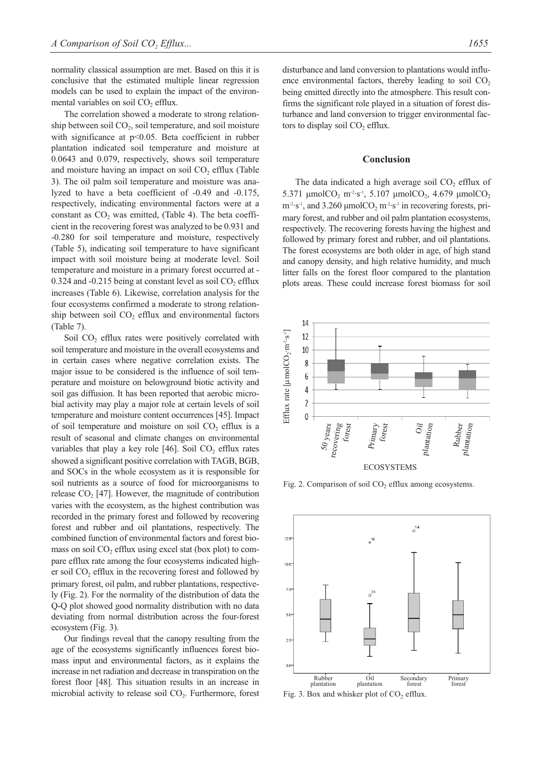normality classical assumption are met. Based on this it is conclusive that the estimated multiple linear regression models can be used to explain the impact of the environmental variables on soil  $CO<sub>2</sub>$  efflux.

The correlation showed a moderate to strong relationship between soil  $CO<sub>2</sub>$ , soil temperature, and soil moisture with significance at p<0.05. Beta coefficient in rubber plantation indicated soil temperature and moisture at 0.0643 and 0.079, respectively, shows soil temperature and moisture having an impact on soil  $CO<sub>2</sub>$  efflux (Table 3). The oil palm soil temperature and moisture was analyzed to have a beta coefficient of -0.49 and -0.175, respectively, indicating environmental factors were at a constant as  $CO<sub>2</sub>$  was emitted, (Table 4). The beta coefficient in the recovering forest was analyzed to be 0.931 and -0.280 for soil temperature and moisture, respectively (Table 5), indicating soil temperature to have significant impact with soil moisture being at moderate level. Soil temperature and moisture in a primary forest occurred at - 0.324 and -0.215 being at constant level as soil  $CO<sub>2</sub>$  efflux increases (Table 6). Likewise, correlation analysis for the four ecosystems confirmed a moderate to strong relationship between soil  $CO<sub>2</sub>$  efflux and environmental factors (Table 7).

Soil CO<sub>2</sub> efflux rates were positively correlated with soil temperature and moisture in the overall ecosystems and in certain cases where negative correlation exists. The major issue to be considered is the influence of soil temperature and moisture on belowground biotic activity and soil gas diffusion. It has been reported that aerobic microbial activity may play a major role at certain levels of soil temperature and moisture content occurrences [45]. Impact of soil temperature and moisture on soil  $CO<sub>2</sub>$  efflux is a result of seasonal and climate changes on environmental variables that play a key role [46]. Soil  $CO<sub>2</sub>$  efflux rates showed a significant positive correlation with TAGB, BGB, and SOCs in the whole ecosystem as it is responsible for soil nutrients as a source of food for microorganisms to release  $CO<sub>2</sub>$  [47]. However, the magnitude of contribution varies with the ecosystem, as the highest contribution was recorded in the primary forest and followed by recovering forest and rubber and oil plantations, respectively. The combined function of environmental factors and forest biomass on soil  $CO<sub>2</sub>$  efflux using excel stat (box plot) to compare efflux rate among the four ecosystems indicated higher soil  $CO<sub>2</sub>$  efflux in the recovering forest and followed by primary forest, oil palm, and rubber plantations, respectively (Fig. 2). For the normality of the distribution of data the Q-Q plot showed good normality distribution with no data deviating from normal distribution across the four-forest ecosystem (Fig. 3).

Our findings reveal that the canopy resulting from the age of the ecosystems significantly influences forest biomass input and environmental factors, as it explains the increase in net radiation and decrease in transpiration on the forest floor [48]. This situation results in an increase in microbial activity to release soil  $CO<sub>2</sub>$ . Furthermore, forest disturbance and land conversion to plantations would influence environmental factors, thereby leading to soil  $CO<sub>2</sub>$ being emitted directly into the atmosphere. This result confirms the significant role played in a situation of forest disturbance and land conversion to trigger environmental factors to display soil CO<sub>2</sub> efflux.

#### **Conclusion**

The data indicated a high average soil  $CO<sub>2</sub>$  efflux of 5.371 μmolCO<sub>2</sub> m<sup>-2</sup>·s<sup>-1</sup>, 5.107 μmolCO<sub>2</sub>, 4.679 μmolCO<sub>2</sub>  $m<sup>2</sup>·s<sup>-1</sup>$ , and 3.260 μmolCO<sub>2</sub> m<sup>-2</sup>·s<sup>-1</sup> in recovering forests, primary forest, and rubber and oil palm plantation ecosystems, respectively. The recovering forests having the highest and followed by primary forest and rubber, and oil plantations. The forest ecosystems are both older in age, of high stand and canopy density, and high relative humidity, and much litter falls on the forest floor compared to the plantation plots areas. These could increase forest biomass for soil



Fig. 2. Comparison of soil  $CO<sub>2</sub>$  efflux among ecosystems.

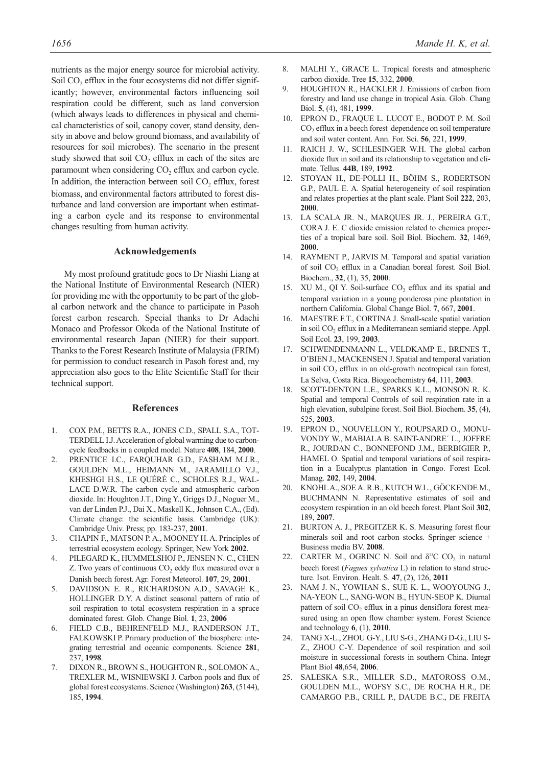nutrients as the major energy source for microbial activity. Soil  $CO<sub>2</sub>$  efflux in the four ecosystems did not differ significantly; however, environmental factors influencing soil respiration could be different, such as land conversion (which always leads to differences in physical and chemical characteristics of soil, canopy cover, stand density, density in above and below ground biomass, and availability of resources for soil microbes). The scenario in the present study showed that soil  $CO<sub>2</sub>$  efflux in each of the sites are paramount when considering  $CO<sub>2</sub>$  efflux and carbon cycle. In addition, the interaction between soil  $CO<sub>2</sub>$  efflux, forest biomass, and environmental factors attributed to forest disturbance and land conversion are important when estimating a carbon cycle and its response to environmental changes resulting from human activity.

#### **Acknowledgements**

My most profound gratitude goes to Dr Niashi Liang at the National Institute of Environmental Research (NIER) for providing me with the opportunity to be part of the global carbon network and the chance to participate in Pasoh forest carbon research. Special thanks to Dr Adachi Monaco and Professor Okoda of the National Institute of environmental research Japan (NIER) for their support. Thanks to the Forest Research Institute of Malaysia (FRIM) for permission to conduct research in Pasoh forest and, my appreciation also goes to the Elite Scientific Staff for their technical support.

#### **References**

- 1. COX P.M., BETTS R.A., JONES C.D., SPALL S.A., TOT-TERDELL I.J. Acceleration of global warming due to carboncycle feedbacks in a coupled model. Nature **408**, 184, **2000**.
- 2. PRENTICE I.C., FARQUHAR G.D., FASHAM M.J.R., GOULDEN M.L., HEIMANN M., JARAMILLO V.J., KHESHGI H.S., LE QUÉRÉ C., SCHOLES R.J., WAL-LACE D.W.R. The carbon cycle and atmospheric carbon dioxide. In: Houghton J.T., Ding Y., Griggs D.J., Noguer M., van der Linden P.J., Dai X., Maskell K., Johnson C.A., (Ed). Climate change: the scientific basis. Cambridge (UK): Cambridge Univ. Press; pp. 183-237, **2001**.
- 3. CHAPIN F., MATSON P. A., MOONEY H. A. Principles of terrestrial ecosystem ecology. Springer, New York **2002**.
- 4. PILEGARD K., HUMMELSHOJ P., JENSEN N. C., CHEN Z. Two years of continuous  $CO<sub>2</sub>$  eddy flux measured over a Danish beech forest. Agr. Forest Meteorol. **107**, 29, **2001**.
- 5. DAVIDSON E. R., RICHARDSON A.D., SAVAGE K., HOLLINGER D.Y. A distinct seasonal pattern of ratio of soil respiration to total ecosystem respiration in a spruce dominated forest. Glob. Change Biol. **1**, 23, **2006**
- 6. FIELD C.B., BEHRENFELD M.J., RANDERSON J.T., FALKOWSKI P. Primary production of the biosphere: integrating terrestrial and oceanic components. Science **281**, 237, **1998**.
- 7. DIXON R., BROWN S., HOUGHTON R., SOLOMON A., TREXLER M., WISNIEWSKI J. Carbon pools and flux of global forest ecosystems. Science (Washington) **263**, (5144), 185, **1994**.
- 8. MALHI Y., GRACE L. Tropical forests and atmospheric carbon dioxide. Tree **15**, 332, **2000**.
- 9. HOUGHTON R., HACKLER J. Emissions of carbon from forestry and land use change in tropical Asia. Glob. Chang Biol. **5**, (4), 481, **1999**.
- 10. EPRON D., FRAQUE L. LUCOT E., BODOT P. M. Soil CO2 efflux in a beech forest dependence on soil temperature and soil water content. Ann. For. Sci. **56**, 221, **1999**.
- 11. RAICH J. W., SCHLESINGER W.H. The global carbon dioxide flux in soil and its relationship to vegetation and climate. Tellus. **44B**, 189, **1992**.
- 12. STOYAN H., DE-POLLI H., BÖHM S., ROBERTSON G.P., PAUL E. A. Spatial heterogeneity of soil respiration and relates properties at the plant scale. Plant Soil **222**, 203, **2000**.
- 13. LA SCALA JR. N., MARQUES JR. J., PEREIRA G.T., CORA J. E. C dioxide emission related to chemica properties of a tropical bare soil. Soil Biol. Biochem. **32**, 1469, **2000**.
- 14. RAYMENT P., JARVIS M. Temporal and spatial variation of soil CO<sub>2</sub> efflux in a Canadian boreal forest. Soil Biol. Biochem., **32**, (1), 35, **2000**.
- 15. XU M., QI Y. Soil-surface CO<sub>2</sub> efflux and its spatial and temporal variation in a young ponderosa pine plantation in northern California. Global Change Biol. **7**, 667, **2001**.
- 16. MAESTRE F.T., CORTINA J. Small-scale spatial variation in soil  $CO<sub>2</sub>$  efflux in a Mediterranean semiarid steppe. Appl. Soil Ecol. **23**, 199, **2003**.
- 17. SCHWENDENMANN L., VELDKAMP E., BRENES T., O'BIEN J., MACKENSEN J. Spatial and temporal variation in soil  $CO<sub>2</sub>$  efflux in an old-growth neotropical rain forest, La Selva, Costa Rica. Biogeochemistry **64**, 111, **2003**.
- 18. SCOTT-DENTON L.E., SPARKS K.L., MONSON R. K. Spatial and temporal Controls of soil respiration rate in a high elevation, subalpine forest. Soil Biol. Biochem. **35**, (4), 525, **2003**.
- 19. EPRON D., NOUVELLON Y., ROUPSARD O., MONU-VONDY W., MABIALA B. SAINT-ANDRE´ L., JOFFRE R., JOURDAN C., BONNEFOND J.M., BERBIGIER P., HAMEL O. Spatial and temporal variations of soil respiration in a Eucalyptus plantation in Congo. Forest Ecol. Manag. **202**, 149, **2004**.
- 20. KNOHL A., SOE A. R.B., KUTCH W.L., GÖCKENDE M., BUCHMANN N. Representative estimates of soil and ecosystem respiration in an old beech forest. Plant Soil **302**, 189, **2007**.
- 21. BURTON A. J., PREGITZER K. S. Measuring forest flour minerals soil and root carbon stocks. Springer science + Business media BV. **2008**.
- 22. CARTER M., OGRINC N. Soil and  $\delta^{13}$ C CO<sub>2</sub> in natural beech forest (*Fagues sylvatica* L) in relation to stand structure. Isot. Environ. Healt. S. **47**, (2), 126, **2011**
- 23. NAM J. N., YOWHAN S., SUE K. L., WOOYOUNG J., NA-YEON L., SANG-WON B., HYUN-SEOP K. Diurnal pattern of soil  $CO<sub>2</sub>$  efflux in a pinus densiflora forest measured using an open flow chamber system. Forest Science and technology **6**, (1), **2010**.
- 24. TANG X-L., ZHOU G-Y., LIU S-G., ZHANG D-G., LIU S-Z., ZHOU C-Y. Dependence of soil respiration and soil moisture in successional forests in southern China. Integr Plant Biol **48**,654, **2006**.
- 25. SALESKA S.R., MILLER S.D., MATOROSS O.M., GOULDEN M.L., WOFSY S.C., DE ROCHA H.R., DE CAMARGO P.B., CRILL P., DAUDE B.C., DE FREITA